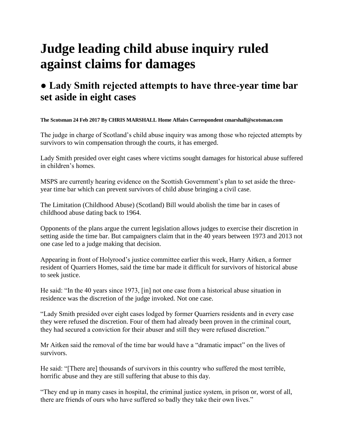## **Judge leading child abuse inquiry ruled against claims for damages**

## **● Lady Smith rejected attempts to have three-year time bar set aside in eight cases**

## **The Scotsman 24 Feb 2017 By CHRIS MARSHALL Home Affairs Correspondent cmarshall@scotsman.com**

The judge in charge of Scotland's child abuse inquiry was among those who rejected attempts by survivors to win compensation through the courts, it has emerged.

Lady Smith presided over eight cases where victims sought damages for historical abuse suffered in children's homes.

MSPS are currently hearing evidence on the Scottish Government's plan to set aside the threeyear time bar which can prevent survivors of child abuse bringing a civil case.

The Limitation (Childhood Abuse) (Scotland) Bill would abolish the time bar in cases of childhood abuse dating back to 1964.

Opponents of the plans argue the current legislation allows judges to exercise their discretion in setting aside the time bar. But campaigners claim that in the 40 years between 1973 and 2013 not one case led to a judge making that decision.

Appearing in front of Holyrood's justice committee earlier this week, Harry Aitken, a former resident of Quarriers Homes, said the time bar made it difficult for survivors of historical abuse to seek justice.

He said: "In the 40 years since 1973, [in] not one case from a historical abuse situation in residence was the discretion of the judge invoked. Not one case.

"Lady Smith presided over eight cases lodged by former Quarriers residents and in every case they were refused the discretion. Four of them had already been proven in the criminal court, they had secured a conviction for their abuser and still they were refused discretion."

Mr Aitken said the removal of the time bar would have a "dramatic impact" on the lives of survivors.

He said: "[There are] thousands of survivors in this country who suffered the most terrible, horrific abuse and they are still suffering that abuse to this day.

"They end up in many cases in hospital, the criminal justice system, in prison or, worst of all, there are friends of ours who have suffered so badly they take their own lives."